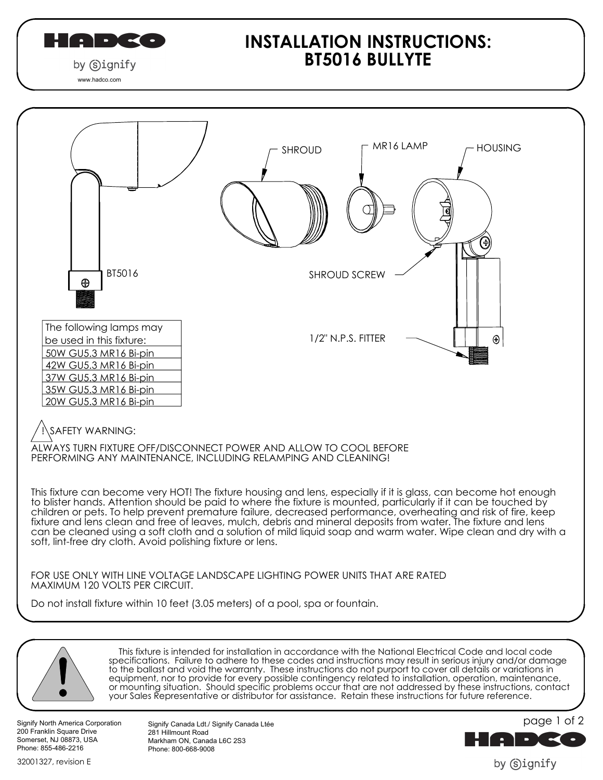

## **INSTALLATION INSTRUCTIONS: BT5016 BULLYTE**





 This fixture is intended for installation in accordance with the National Electrical Code and local code specifications. Failure to adhere to these codes and instructions may result in serious injury and/or damage to the ballast and void the warranty. These instructions do not purport to cover all details or variations in equipment, nor to provide for every possible contingency related to installation, operation, maintenance, or mounting situation. Should specific problems occur that are not addressed by these instructions, contact your Sales Representative or distributor for assistance. Retain these instructions for future reference.

Signify North America Corporation 200 Franklin Square Drive Somerset, NJ 08873, USA Phone: 855-486-2216

32001327, revision E

Signify Canada Ldt./ Signify Canada Ltée

Markham ON, Canada L6C 2S3 Phone: 800-668-9008

281 Hillmount Road



by Signify